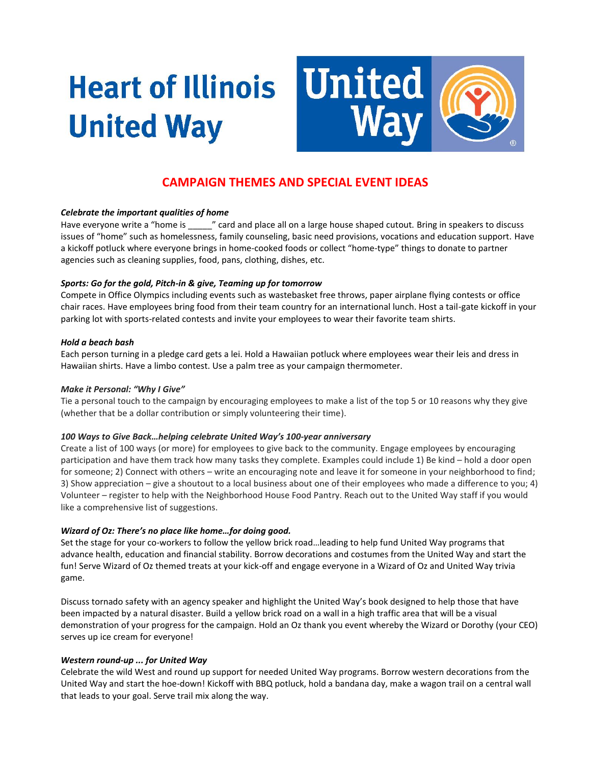# **Heart of Illinois United Way**



# **CAMPAIGN THEMES AND SPECIAL EVENT IDEAS**

## *Celebrate the important qualities of home*

Have everyone write a "home is \_\_\_\_\_" card and place all on a large house shaped cutout. Bring in speakers to discuss issues of "home" such as homelessness, family counseling, basic need provisions, vocations and education support. Have a kickoff potluck where everyone brings in home-cooked foods or collect "home-type" things to donate to partner agencies such as cleaning supplies, food, pans, clothing, dishes, etc.

#### *Sports: Go for the gold, Pitch-in & give, Teaming up for tomorrow*

Compete in Office Olympics including events such as wastebasket free throws, paper airplane flying contests or office chair races. Have employees bring food from their team country for an international lunch. Host a tail-gate kickoff in your parking lot with sports-related contests and invite your employees to wear their favorite team shirts.

#### *Hold a beach bash*

Each person turning in a pledge card gets a lei. Hold a Hawaiian potluck where employees wear their leis and dress in Hawaiian shirts. Have a limbo contest. Use a palm tree as your campaign thermometer.

#### *Make it Personal: "Why I Give"*

Tie a personal touch to the campaign by encouraging employees to make a list of the top 5 or 10 reasons why they give (whether that be a dollar contribution or simply volunteering their time).

#### *100 Ways to Give Back…helping celebrate United Way's 100-year anniversary*

Create a list of 100 ways (or more) for employees to give back to the community. Engage employees by encouraging participation and have them track how many tasks they complete. Examples could include 1) Be kind – hold a door open for someone; 2) Connect with others – write an encouraging note and leave it for someone in your neighborhood to find; 3) Show appreciation – give a shoutout to a local business about one of their employees who made a difference to you; 4) Volunteer – register to help with the Neighborhood House Food Pantry. Reach out to the United Way staff if you would like a comprehensive list of suggestions.

## *Wizard of Oz: There's no place like home…for doing good.*

Set the stage for your co-workers to follow the yellow brick road…leading to help fund United Way programs that advance health, education and financial stability. Borrow decorations and costumes from the United Way and start the fun! Serve Wizard of Oz themed treats at your kick-off and engage everyone in a Wizard of Oz and United Way trivia game.

Discuss tornado safety with an agency speaker and highlight the United Way's book designed to help those that have been impacted by a natural disaster. Build a yellow brick road on a wall in a high traffic area that will be a visual demonstration of your progress for the campaign. Hold an Oz thank you event whereby the Wizard or Dorothy (your CEO) serves up ice cream for everyone!

## *Western round-up ... for United Way*

Celebrate the wild West and round up support for needed United Way programs. Borrow western decorations from the United Way and start the hoe-down! Kickoff with BBQ potluck, hold a bandana day, make a wagon trail on a central wall that leads to your goal. Serve trail mix along the way.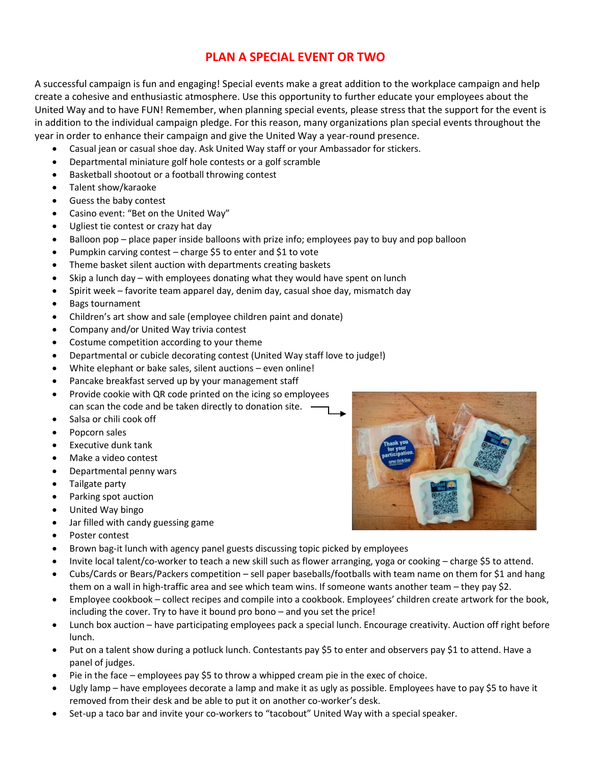# **PLAN A SPECIAL EVENT OR TWO**

A successful campaign is fun and engaging! Special events make a great addition to the workplace campaign and help create a cohesive and enthusiastic atmosphere. Use this opportunity to further educate your employees about the United Way and to have FUN! Remember, when planning special events, please stress that the support for the event is in addition to the individual campaign pledge. For this reason, many organizations plan special events throughout the year in order to enhance their campaign and give the United Way a year-round presence.

- Casual jean or casual shoe day. Ask United Way staff or your Ambassador for stickers.
- Departmental miniature golf hole contests or a golf scramble
- Basketball shootout or a football throwing contest
- Talent show/karaoke
- Guess the baby contest
- Casino event: "Bet on the United Way"
- Ugliest tie contest or crazy hat day
- Balloon pop place paper inside balloons with prize info; employees pay to buy and pop balloon
- Pumpkin carving contest charge \$5 to enter and \$1 to vote
- Theme basket silent auction with departments creating baskets
- Skip a lunch day with employees donating what they would have spent on lunch
- Spirit week favorite team apparel day, denim day, casual shoe day, mismatch day
- Bags tournament
- Children's art show and sale (employee children paint and donate)
- Company and/or United Way trivia contest
- Costume competition according to your theme
- Departmental or cubicle decorating contest (United Way staff love to judge!)
- White elephant or bake sales, silent auctions even online!
- Pancake breakfast served up by your management staff
- Provide cookie with QR code printed on the icing so employees can scan the code and be taken directly to donation site.
- Salsa or chili cook off
- Popcorn sales
- Executive dunk tank
- Make a video contest
- Departmental penny wars
- Tailgate party
- Parking spot auction
- United Way bingo
- Jar filled with candy guessing game
- Poster contest
- Brown bag-it lunch with agency panel guests discussing topic picked by employees
- Invite local talent/co-worker to teach a new skill such as flower arranging, yoga or cooking charge \$5 to attend.
- Cubs/Cards or Bears/Packers competition sell paper baseballs/footballs with team name on them for \$1 and hang them on a wall in high-traffic area and see which team wins. If someone wants another team – they pay \$2.
- Employee cookbook collect recipes and compile into a cookbook. Employees' children create artwork for the book, including the cover. Try to have it bound pro bono – and you set the price!
- Lunch box auction have participating employees pack a special lunch. Encourage creativity. Auction off right before lunch.
- Put on a talent show during a potluck lunch. Contestants pay \$5 to enter and observers pay \$1 to attend. Have a panel of judges.
- Pie in the face employees pay \$5 to throw a whipped cream pie in the exec of choice.
- Ugly lamp have employees decorate a lamp and make it as ugly as possible. Employees have to pay \$5 to have it removed from their desk and be able to put it on another co-worker's desk.
- Set-up a taco bar and invite your co-workers to "tacobout" United Way with a special speaker.